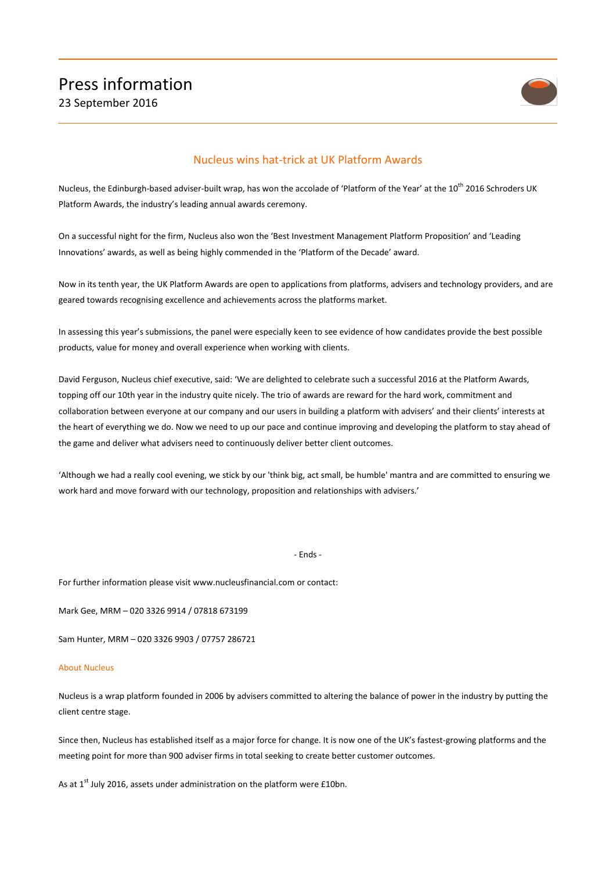

## Nucleus wins hat-trick at UK Platform Awards

Nucleus, the Edinburgh-based adviser-built wrap, has won the accolade of 'Platform of the Year' at the 10<sup>th</sup> 2016 Schroders UK Platform Awards, the industry's leading annual awards ceremony.

On a successful night for the firm, Nucleus also won the 'Best Investment Management Platform Proposition' and 'Leading Innovations' awards, as well as being highly commended in the 'Platform of the Decade' award.

Now in its tenth year, the UK Platform Awards are open to applications from platforms, advisers and technology providers, and are geared towards recognising excellence and achievements across the platforms market.

In assessing this year's submissions, the panel were especially keen to see evidence of how candidates provide the best possible products, value for money and overall experience when working with clients.

David Ferguson, Nucleus chief executive, said: 'We are delighted to celebrate such a successful 2016 at the Platform Awards, topping off our 10th year in the industry quite nicely. The trio of awards are reward for the hard work, commitment and collaboration between everyone at our company and our users in building a platform with advisers' and their clients' interests at the heart of everything we do. Now we need to up our pace and continue improving and developing the platform to stay ahead of the game and deliver what advisers need to continuously deliver better client outcomes.

'Although we had a really cool evening, we stick by our 'think big, act small, be humble' mantra and are committed to ensuring we work hard and move forward with our technology, proposition and relationships with advisers.'

## - Ends -

For further information please visit www.nucleusfinancial.com or contact:

Mark Gee, MRM – 020 3326 9914 / 07818 673199

Sam Hunter, MRM – 020 3326 9903 / 07757 286721

## About Nucleus

Nucleus is a wrap platform founded in 2006 by advisers committed to altering the balance of power in the industry by putting the client centre stage.

Since then, Nucleus has established itself as a major force for change. It is now one of the UK's fastest-growing platforms and the meeting point for more than 900 adviser firms in total seeking to create better customer outcomes.

As at 1<sup>st</sup> July 2016, assets under administration on the platform were £10bn.